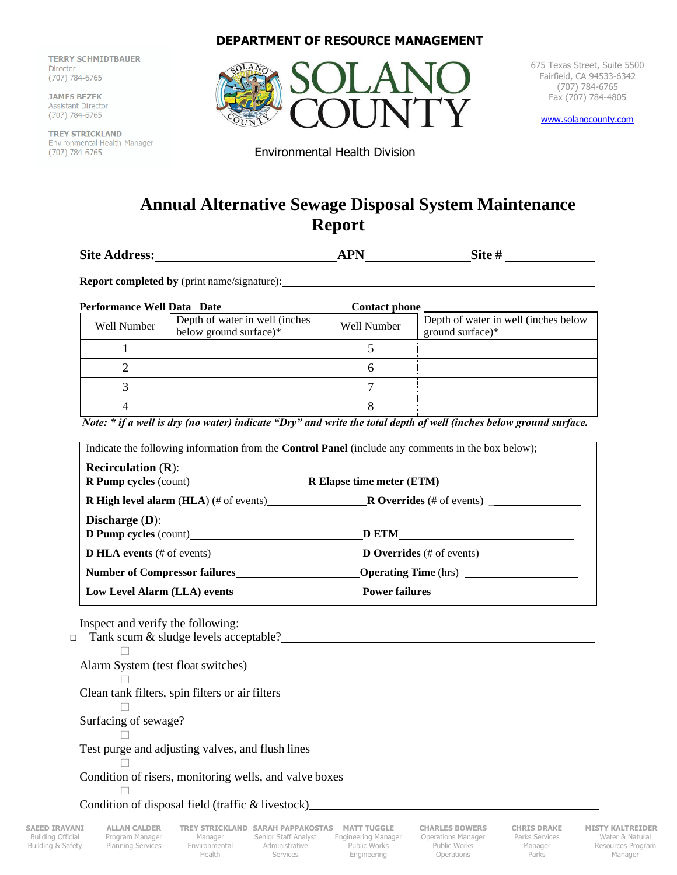**TERRY SCHMIDTBAUER TERRY SCHOOL**  $\sum_{i=1}^{n}$ 

**JAMES BEZEK Assistant Director** (707) 784-6765

TREY STRICKLA  $(707) 784-6765$ 

## **DEPARTMENT OF RESOURCE MANAGEMENT**



675 Texas Street, Suite 5500 Fairfield, CA 94533-6342 (707) 784-6765 Fax (707) 784-4805

[www.solanocounty.com](http://www.solanocounty.com/)

Environmental Health Division

## **Annual Alternative Sewage Disposal System Maintenance Report**

| <b>Site Address:</b> | <b>APN</b> | Site # |
|----------------------|------------|--------|
|                      |            |        |

**Report completed by** (print name/signature):

| Performance Well Data Date |                                                          | <b>Contact phone</b> |                                                          |
|----------------------------|----------------------------------------------------------|----------------------|----------------------------------------------------------|
| Well Number                | Depth of water in well (inches<br>below ground surface)* | <b>Well Number</b>   | Depth of water in well (inches below<br>ground surface)* |
|                            |                                                          |                      |                                                          |
|                            |                                                          | n                    |                                                          |
|                            |                                                          |                      |                                                          |
|                            |                                                          |                      |                                                          |

*Note: \* if a well is dry (no water) indicate "Dry" and write the total depth of well (inches below ground surface.*

|                                             | R High level alarm (HLA) (# of events) R Overrides (# of events) ________________                                                                                                                                                    |  |
|---------------------------------------------|--------------------------------------------------------------------------------------------------------------------------------------------------------------------------------------------------------------------------------------|--|
| Discharge $(D)$ :                           |                                                                                                                                                                                                                                      |  |
|                                             | D Pump cycles (count)<br>D ETM D Pump cycles (count) D Pump cycles (count) D Pump cycles $\frac{1}{2}$                                                                                                                               |  |
|                                             | <b>D HLA events (# of events) D</b> Overrides (# of events)                                                                                                                                                                          |  |
|                                             | Number of Compressor failures <b>Company Constant Company Constant Company Constant Company Company Company Company Company Company Company Company Company Company Company Company Company Company Company Company Company Comp</b> |  |
| Low Level Alarm (LLA) events Power failures |                                                                                                                                                                                                                                      |  |
| Inspect and verify the following:           | Tank scum & sludge levels acceptable?<br>Tank scum & sludge levels acceptable?                                                                                                                                                       |  |
|                                             |                                                                                                                                                                                                                                      |  |
|                                             |                                                                                                                                                                                                                                      |  |
|                                             |                                                                                                                                                                                                                                      |  |
|                                             |                                                                                                                                                                                                                                      |  |
|                                             | Condition of risers, monitoring wells, and valve boxes___________________________                                                                                                                                                    |  |

Building Official Program Manager Manager Senior Staff Analyst Engineering Manager Operations Manager Parks Services Water & Natural<br>Building & Safety Planning Services Environmental Administrative Public Works Public Work Building & Safety Planning Services Environmental Administrative Public Works Public Works Manager Resources Program Health Services Engineering Operations Parks Manager